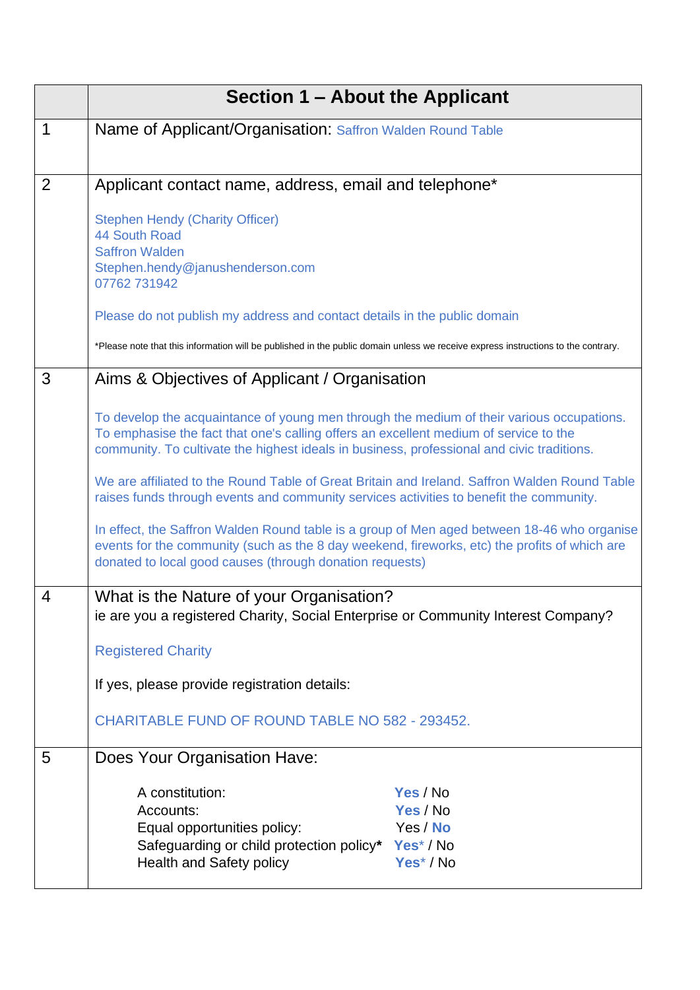|                | Section 1 – About the Applicant                                                                                                                                                                                                                                                                                                                                                                                                                                                                                                                                                                                                                                                                                                          |
|----------------|------------------------------------------------------------------------------------------------------------------------------------------------------------------------------------------------------------------------------------------------------------------------------------------------------------------------------------------------------------------------------------------------------------------------------------------------------------------------------------------------------------------------------------------------------------------------------------------------------------------------------------------------------------------------------------------------------------------------------------------|
| 1              | Name of Applicant/Organisation: Saffron Walden Round Table                                                                                                                                                                                                                                                                                                                                                                                                                                                                                                                                                                                                                                                                               |
| $\overline{2}$ | Applicant contact name, address, email and telephone*                                                                                                                                                                                                                                                                                                                                                                                                                                                                                                                                                                                                                                                                                    |
|                | <b>Stephen Hendy (Charity Officer)</b><br>44 South Road<br><b>Saffron Walden</b><br>Stephen.hendy@janushenderson.com<br>07762 731942                                                                                                                                                                                                                                                                                                                                                                                                                                                                                                                                                                                                     |
|                | Please do not publish my address and contact details in the public domain                                                                                                                                                                                                                                                                                                                                                                                                                                                                                                                                                                                                                                                                |
|                | *Please note that this information will be published in the public domain unless we receive express instructions to the contrary.                                                                                                                                                                                                                                                                                                                                                                                                                                                                                                                                                                                                        |
| 3              | Aims & Objectives of Applicant / Organisation                                                                                                                                                                                                                                                                                                                                                                                                                                                                                                                                                                                                                                                                                            |
|                | To develop the acquaintance of young men through the medium of their various occupations.<br>To emphasise the fact that one's calling offers an excellent medium of service to the<br>community. To cultivate the highest ideals in business, professional and civic traditions.<br>We are affiliated to the Round Table of Great Britain and Ireland. Saffron Walden Round Table<br>raises funds through events and community services activities to benefit the community.<br>In effect, the Saffron Walden Round table is a group of Men aged between 18-46 who organise<br>events for the community (such as the 8 day weekend, fireworks, etc) the profits of which are<br>donated to local good causes (through donation requests) |
| 4              | What is the Nature of your Organisation?<br>ie are you a registered Charity, Social Enterprise or Community Interest Company?                                                                                                                                                                                                                                                                                                                                                                                                                                                                                                                                                                                                            |
|                | <b>Registered Charity</b>                                                                                                                                                                                                                                                                                                                                                                                                                                                                                                                                                                                                                                                                                                                |
|                | If yes, please provide registration details:                                                                                                                                                                                                                                                                                                                                                                                                                                                                                                                                                                                                                                                                                             |
|                | <b>CHARITABLE FUND OF ROUND TABLE NO 582 - 293452.</b>                                                                                                                                                                                                                                                                                                                                                                                                                                                                                                                                                                                                                                                                                   |
| 5              | Does Your Organisation Have:                                                                                                                                                                                                                                                                                                                                                                                                                                                                                                                                                                                                                                                                                                             |
|                | A constitution:<br>Yes / No<br>Yes / No<br>Accounts:<br>Equal opportunities policy:<br>Yes / No<br>Safeguarding or child protection policy* Yes* / No<br>Yes <sup>*</sup> / No<br><b>Health and Safety policy</b>                                                                                                                                                                                                                                                                                                                                                                                                                                                                                                                        |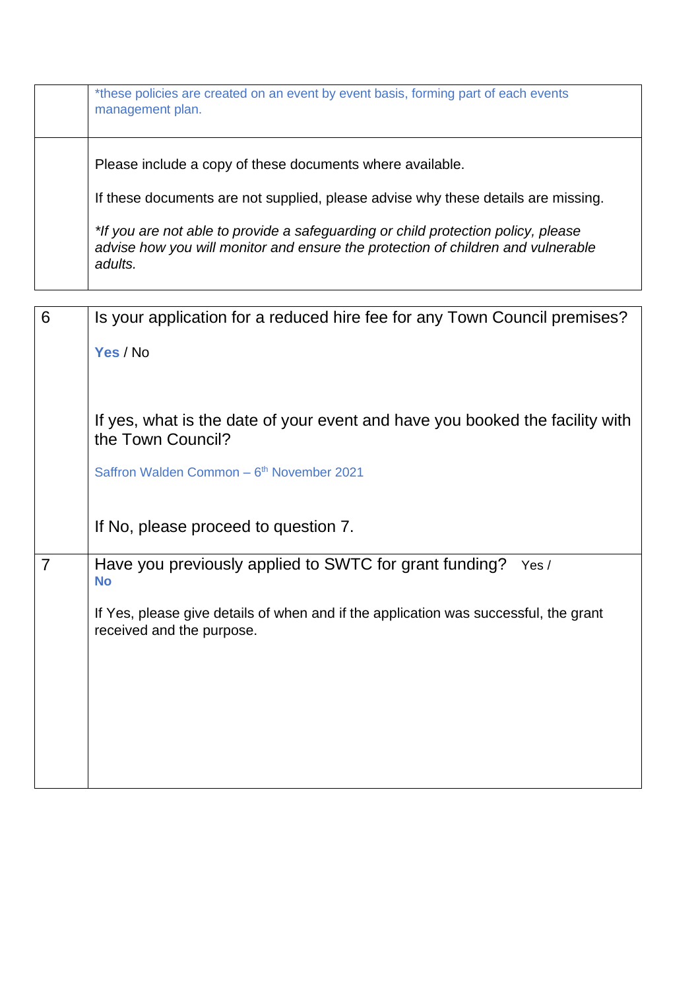| *these policies are created on an event by event basis, forming part of each events<br>management plan.                                                                          |
|----------------------------------------------------------------------------------------------------------------------------------------------------------------------------------|
| Please include a copy of these documents where available.                                                                                                                        |
| If these documents are not supplied, please advise why these details are missing.                                                                                                |
| *If you are not able to provide a safeguarding or child protection policy, please<br>advise how you will monitor and ensure the protection of children and vulnerable<br>adults. |

| 6              | Is your application for a reduced hire fee for any Town Council premises?                                         |
|----------------|-------------------------------------------------------------------------------------------------------------------|
|                | Yes / No                                                                                                          |
|                |                                                                                                                   |
|                |                                                                                                                   |
|                | If yes, what is the date of your event and have you booked the facility with<br>the Town Council?                 |
|                | Saffron Walden Common - 6 <sup>th</sup> November 2021                                                             |
|                | If No, please proceed to question 7.                                                                              |
| $\overline{7}$ | Have you previously applied to SWTC for grant funding?<br>Yes /<br><b>No</b>                                      |
|                | If Yes, please give details of when and if the application was successful, the grant<br>received and the purpose. |
|                |                                                                                                                   |
|                |                                                                                                                   |
|                |                                                                                                                   |
|                |                                                                                                                   |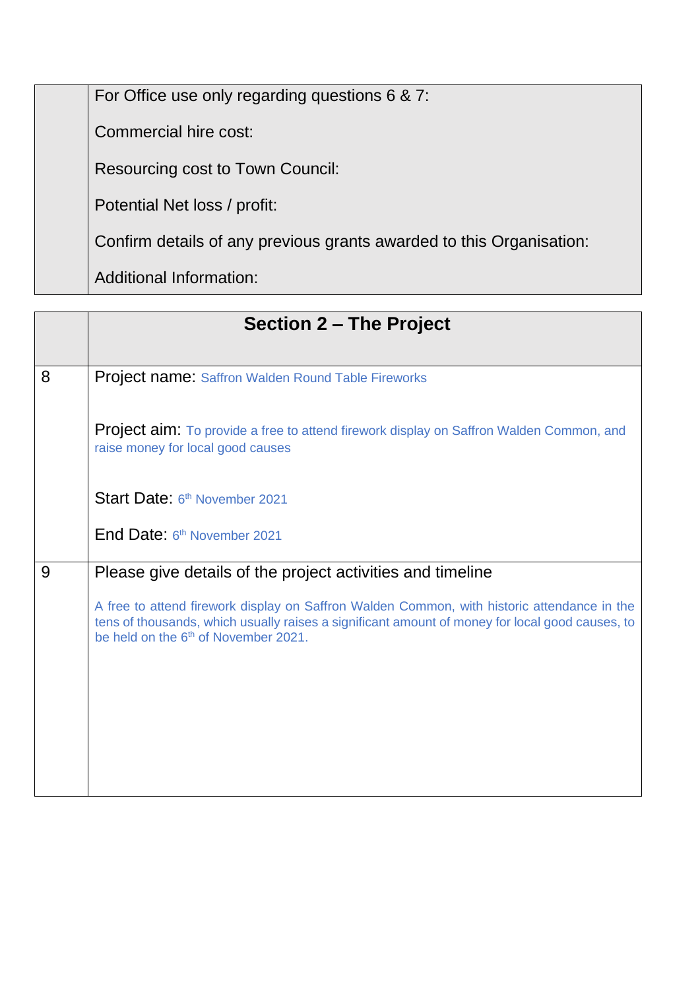For Office use only regarding questions 6 & 7:

Commercial hire cost:

Resourcing cost to Town Council:

Potential Net loss / profit:

Confirm details of any previous grants awarded to this Organisation:

Additional Information:

|   | Section 2 – The Project                                                                                                                                                                                                                            |
|---|----------------------------------------------------------------------------------------------------------------------------------------------------------------------------------------------------------------------------------------------------|
| 8 | <b>Project name: Saffron Walden Round Table Fireworks</b>                                                                                                                                                                                          |
|   | <b>Project aim:</b> To provide a free to attend firework display on Saffron Walden Common, and<br>raise money for local good causes                                                                                                                |
|   | Start Date: 6th November 2021                                                                                                                                                                                                                      |
|   | End Date: 6th November 2021                                                                                                                                                                                                                        |
| 9 | Please give details of the project activities and timeline                                                                                                                                                                                         |
|   | A free to attend firework display on Saffron Walden Common, with historic attendance in the<br>tens of thousands, which usually raises a significant amount of money for local good causes, to<br>be held on the 6 <sup>th</sup> of November 2021. |
|   |                                                                                                                                                                                                                                                    |
|   |                                                                                                                                                                                                                                                    |
|   |                                                                                                                                                                                                                                                    |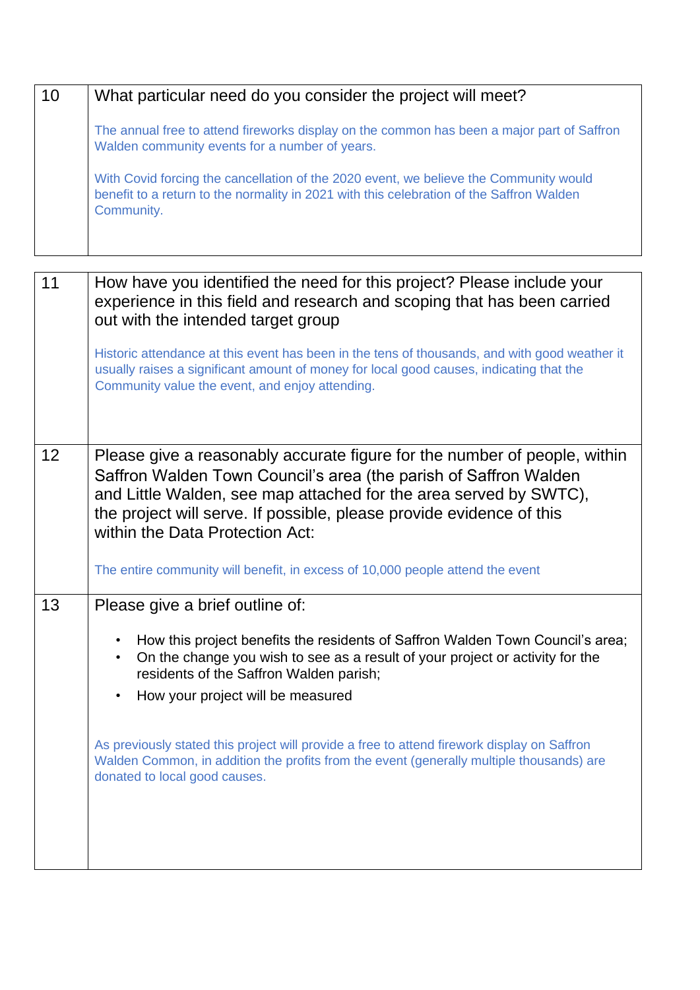| 10 | What particular need do you consider the project will meet?                                                                                                                                     |
|----|-------------------------------------------------------------------------------------------------------------------------------------------------------------------------------------------------|
|    | The annual free to attend fireworks display on the common has been a major part of Saffron<br>Walden community events for a number of years.                                                    |
|    | With Covid forcing the cancellation of the 2020 event, we believe the Community would<br>benefit to a return to the normality in 2021 with this celebration of the Saffron Walden<br>Community. |

| 11 | How have you identified the need for this project? Please include your<br>experience in this field and research and scoping that has been carried<br>out with the intended target group                                                                                                                                       |
|----|-------------------------------------------------------------------------------------------------------------------------------------------------------------------------------------------------------------------------------------------------------------------------------------------------------------------------------|
|    | Historic attendance at this event has been in the tens of thousands, and with good weather it<br>usually raises a significant amount of money for local good causes, indicating that the<br>Community value the event, and enjoy attending.                                                                                   |
| 12 | Please give a reasonably accurate figure for the number of people, within<br>Saffron Walden Town Council's area (the parish of Saffron Walden<br>and Little Walden, see map attached for the area served by SWTC),<br>the project will serve. If possible, please provide evidence of this<br>within the Data Protection Act: |
|    | The entire community will benefit, in excess of 10,000 people attend the event                                                                                                                                                                                                                                                |
| 13 | Please give a brief outline of:                                                                                                                                                                                                                                                                                               |
|    | How this project benefits the residents of Saffron Walden Town Council's area;<br>$\bullet$<br>On the change you wish to see as a result of your project or activity for the<br>$\bullet$<br>residents of the Saffron Walden parish;                                                                                          |
|    | How your project will be measured<br>$\bullet$                                                                                                                                                                                                                                                                                |
|    | As previously stated this project will provide a free to attend firework display on Saffron<br>Walden Common, in addition the profits from the event (generally multiple thousands) are<br>donated to local good causes.                                                                                                      |
|    |                                                                                                                                                                                                                                                                                                                               |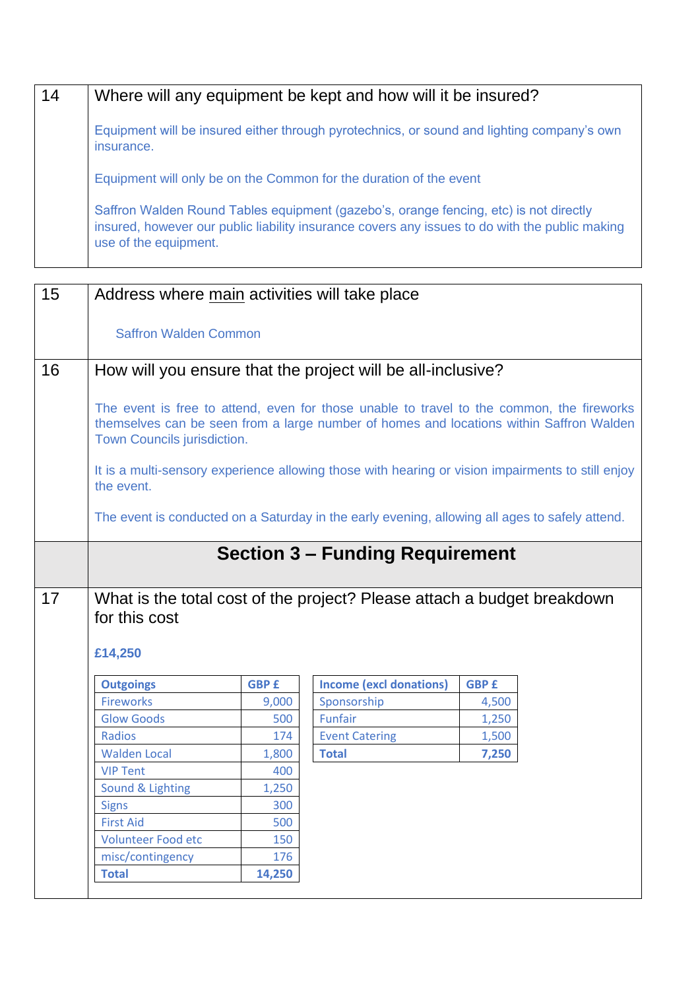| 14 | Where will any equipment be kept and how will it be insured?                                                                                                                                                     |
|----|------------------------------------------------------------------------------------------------------------------------------------------------------------------------------------------------------------------|
|    | Equipment will be insured either through pyrotechnics, or sound and lighting company's own<br>insurance.                                                                                                         |
|    | Equipment will only be on the Common for the duration of the event                                                                                                                                               |
|    | Saffron Walden Round Tables equipment (gazebo's, orange fencing, etc) is not directly<br>insured, however our public liability insurance covers any issues to do with the public making<br>use of the equipment. |

| 15 | Address where main activities will take place                                                                                                                                                                       |              |                                                                                                |              |  |
|----|---------------------------------------------------------------------------------------------------------------------------------------------------------------------------------------------------------------------|--------------|------------------------------------------------------------------------------------------------|--------------|--|
|    |                                                                                                                                                                                                                     |              |                                                                                                |              |  |
|    | <b>Saffron Walden Common</b>                                                                                                                                                                                        |              |                                                                                                |              |  |
| 16 | How will you ensure that the project will be all-inclusive?                                                                                                                                                         |              |                                                                                                |              |  |
|    |                                                                                                                                                                                                                     |              |                                                                                                |              |  |
|    | The event is free to attend, even for those unable to travel to the common, the fireworks<br>themselves can be seen from a large number of homes and locations within Saffron Walden<br>Town Councils jurisdiction. |              |                                                                                                |              |  |
|    | It is a multi-sensory experience allowing those with hearing or vision impairments to still enjoy<br>the event.                                                                                                     |              |                                                                                                |              |  |
|    |                                                                                                                                                                                                                     |              | The event is conducted on a Saturday in the early evening, allowing all ages to safely attend. |              |  |
|    |                                                                                                                                                                                                                     |              | <b>Section 3 - Funding Requirement</b>                                                         |              |  |
| 17 | What is the total cost of the project? Please attach a budget breakdown<br>for this cost<br>£14,250                                                                                                                 |              |                                                                                                |              |  |
|    | <b>Outgoings</b>                                                                                                                                                                                                    | <b>GBP £</b> | <b>Income (excl donations)</b>                                                                 | <b>GBP £</b> |  |
|    | <b>Fireworks</b>                                                                                                                                                                                                    | 9,000        | Sponsorship                                                                                    | 4,500        |  |
|    | <b>Glow Goods</b>                                                                                                                                                                                                   | 500          | Funfair                                                                                        | 1,250        |  |
|    | Radios                                                                                                                                                                                                              | 174          | <b>Event Catering</b>                                                                          | 1,500        |  |
|    | <b>Walden Local</b>                                                                                                                                                                                                 | 1,800        | <b>Total</b>                                                                                   | 7,250        |  |
|    | <b>VIP Tent</b>                                                                                                                                                                                                     | 400          |                                                                                                |              |  |
|    | Sound & Lighting                                                                                                                                                                                                    | 1,250        |                                                                                                |              |  |
|    | <b>Signs</b>                                                                                                                                                                                                        | 300          |                                                                                                |              |  |
|    | <b>First Aid</b>                                                                                                                                                                                                    | 500          |                                                                                                |              |  |
|    | <b>Volunteer Food etc</b>                                                                                                                                                                                           | 150          |                                                                                                |              |  |
|    | misc/contingency                                                                                                                                                                                                    | 176          |                                                                                                |              |  |
|    | <b>Total</b>                                                                                                                                                                                                        | 14,250       |                                                                                                |              |  |
|    |                                                                                                                                                                                                                     |              |                                                                                                |              |  |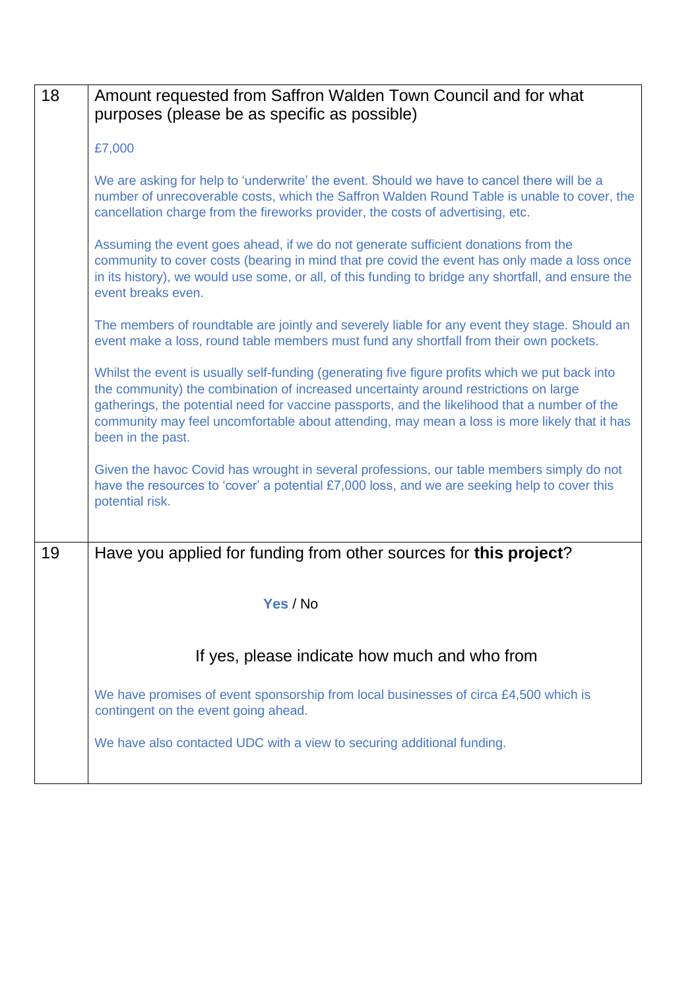| 18 | Amount requested from Saffron Walden Town Council and for what<br>purposes (please be as specific as possible)                                                                                                                                                                                                                                                                                                |
|----|---------------------------------------------------------------------------------------------------------------------------------------------------------------------------------------------------------------------------------------------------------------------------------------------------------------------------------------------------------------------------------------------------------------|
|    | £7,000                                                                                                                                                                                                                                                                                                                                                                                                        |
|    | We are asking for help to 'underwrite' the event. Should we have to cancel there will be a<br>number of unrecoverable costs, which the Saffron Walden Round Table is unable to cover, the<br>cancellation charge from the fireworks provider, the costs of advertising, etc.                                                                                                                                  |
|    | Assuming the event goes ahead, if we do not generate sufficient donations from the<br>community to cover costs (bearing in mind that pre covid the event has only made a loss once<br>in its history), we would use some, or all, of this funding to bridge any shortfall, and ensure the<br>event breaks even.                                                                                               |
|    | The members of roundtable are jointly and severely liable for any event they stage. Should an<br>event make a loss, round table members must fund any shortfall from their own pockets.                                                                                                                                                                                                                       |
|    | Whilst the event is usually self-funding (generating five figure profits which we put back into<br>the community) the combination of increased uncertainty around restrictions on large<br>gatherings, the potential need for vaccine passports, and the likelihood that a number of the<br>community may feel uncomfortable about attending, may mean a loss is more likely that it has<br>been in the past. |
|    | Given the havoc Covid has wrought in several professions, our table members simply do not<br>have the resources to 'cover' a potential £7,000 loss, and we are seeking help to cover this<br>potential risk.                                                                                                                                                                                                  |
| 19 | Have you applied for funding from other sources for this project?                                                                                                                                                                                                                                                                                                                                             |
|    | Yes / No                                                                                                                                                                                                                                                                                                                                                                                                      |
|    | If yes, please indicate how much and who from                                                                                                                                                                                                                                                                                                                                                                 |
|    | We have promises of event sponsorship from local businesses of circa £4,500 which is<br>contingent on the event going ahead.                                                                                                                                                                                                                                                                                  |
|    | We have also contacted UDC with a view to securing additional funding.                                                                                                                                                                                                                                                                                                                                        |
|    |                                                                                                                                                                                                                                                                                                                                                                                                               |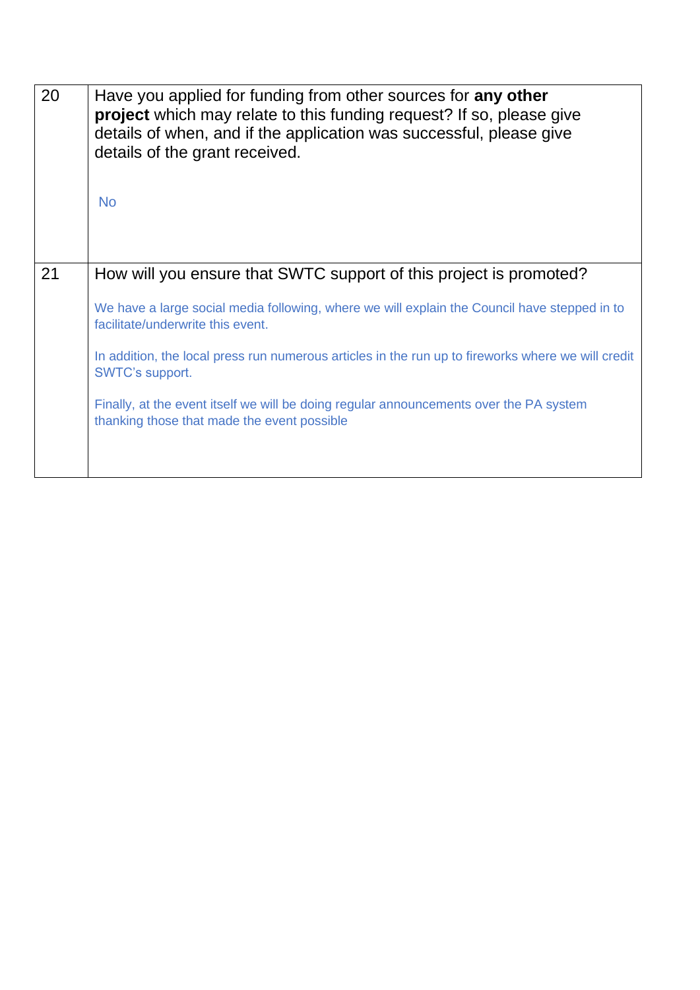| 20 | Have you applied for funding from other sources for any other<br><b>project</b> which may relate to this funding request? If so, please give<br>details of when, and if the application was successful, please give<br>details of the grant received.<br><b>No</b> |
|----|--------------------------------------------------------------------------------------------------------------------------------------------------------------------------------------------------------------------------------------------------------------------|
| 21 | How will you ensure that SWTC support of this project is promoted?                                                                                                                                                                                                 |
|    | We have a large social media following, where we will explain the Council have stepped in to<br>facilitate/underwrite this event.                                                                                                                                  |
|    | In addition, the local press run numerous articles in the run up to fireworks where we will credit<br>SWTC's support.                                                                                                                                              |
|    | Finally, at the event itself we will be doing regular announcements over the PA system<br>thanking those that made the event possible                                                                                                                              |
|    |                                                                                                                                                                                                                                                                    |